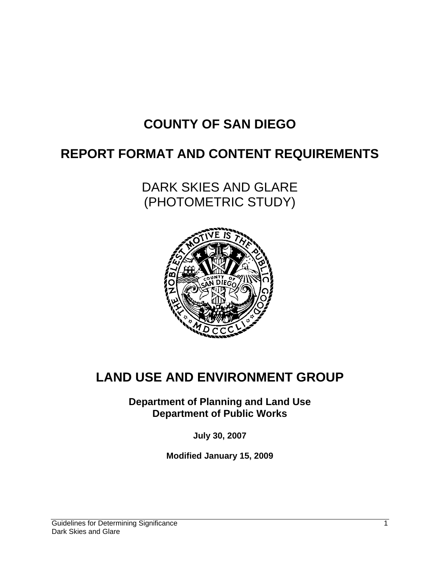# **COUNTY OF SAN DIEGO**

## **REPORT FORMAT AND CONTENT REQUIREMENTS**

DARK SKIES AND GLARE (PHOTOMETRIC STUDY)



## **LAND USE AND ENVIRONMENT GROUP**

**Department of Planning and Land Use Department of Public Works** 

**July 30, 2007** 

**Modified January 15, 2009**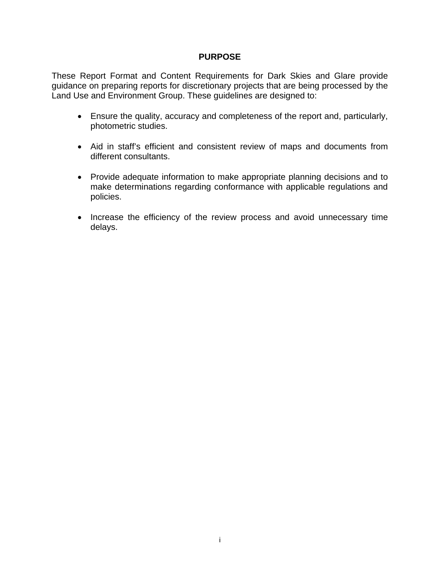#### **PURPOSE**

These Report Format and Content Requirements for Dark Skies and Glare provide guidance on preparing reports for discretionary projects that are being processed by the Land Use and Environment Group. These guidelines are designed to:

- Ensure the quality, accuracy and completeness of the report and, particularly, photometric studies.
- Aid in staff's efficient and consistent review of maps and documents from different consultants.
- Provide adequate information to make appropriate planning decisions and to make determinations regarding conformance with applicable regulations and policies.
- Increase the efficiency of the review process and avoid unnecessary time delays.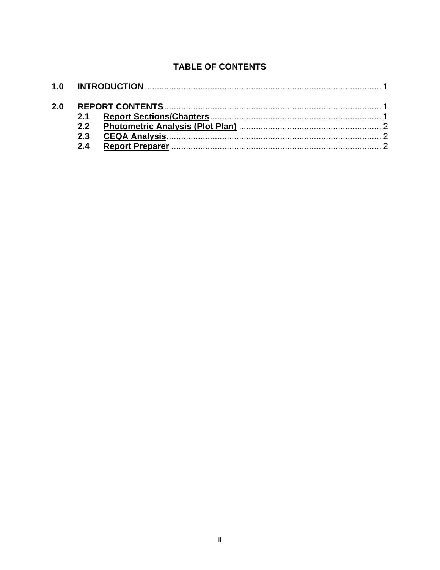## **TABLE OF CONTENTS**

| 2.0 |     |  |  |
|-----|-----|--|--|
|     |     |  |  |
|     |     |  |  |
|     | 2.3 |  |  |
|     | 2.4 |  |  |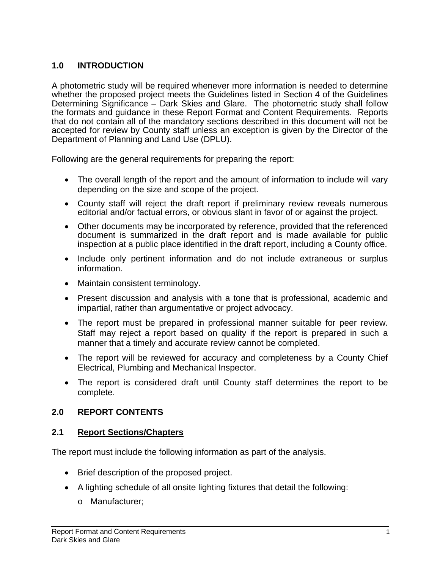## **1.0 INTRODUCTION**

A photometric study will be required whenever more information is needed to determine whether the proposed project meets the Guidelines listed in Section 4 of the Guidelines Determining Significance – Dark Skies and Glare. The photometric study shall follow the formats and guidance in these Report Format and Content Requirements. Reports that do not contain all of the mandatory sections described in this document will not be accepted for review by County staff unless an exception is given by the Director of the Department of Planning and Land Use (DPLU).

Following are the general requirements for preparing the report:

- The overall length of the report and the amount of information to include will vary depending on the size and scope of the project.
- County staff will reject the draft report if preliminary review reveals numerous editorial and/or factual errors, or obvious slant in favor of or against the project.
- Other documents may be incorporated by reference, provided that the referenced document is summarized in the draft report and is made available for public inspection at a public place identified in the draft report, including a County office.
- Include only pertinent information and do not include extraneous or surplus information.
- Maintain consistent terminology.
- Present discussion and analysis with a tone that is professional, academic and impartial, rather than argumentative or project advocacy.
- The report must be prepared in professional manner suitable for peer review. Staff may reject a report based on quality if the report is prepared in such a manner that a timely and accurate review cannot be completed.
- The report will be reviewed for accuracy and completeness by a County Chief Electrical, Plumbing and Mechanical Inspector.
- The report is considered draft until County staff determines the report to be complete.

#### **2.0 REPORT CONTENTS**

#### **2.1 Report Sections/Chapters**

The report must include the following information as part of the analysis.

- Brief description of the proposed project.
- A lighting schedule of all onsite lighting fixtures that detail the following:
	- o Manufacturer;